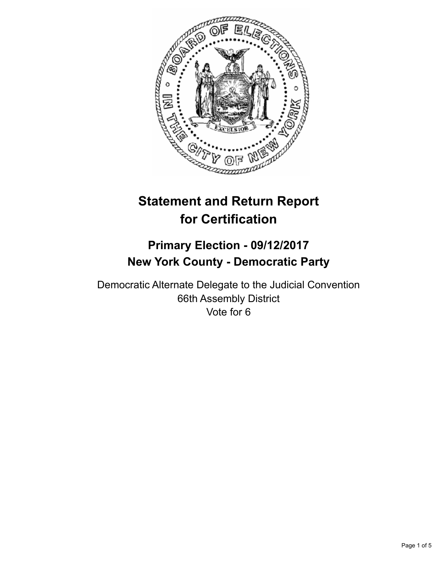

# **Statement and Return Report for Certification**

# **Primary Election - 09/12/2017 New York County - Democratic Party**

Democratic Alternate Delegate to the Judicial Convention 66th Assembly District Vote for 6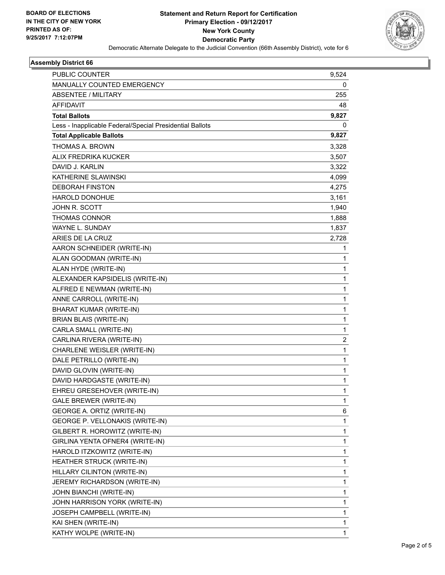

# **Assembly District 66**

| PUBLIC COUNTER                                           | 9,524 |
|----------------------------------------------------------|-------|
| <b>MANUALLY COUNTED EMERGENCY</b>                        | 0     |
| <b>ABSENTEE / MILITARY</b>                               | 255   |
| <b>AFFIDAVIT</b>                                         | 48    |
| <b>Total Ballots</b>                                     | 9,827 |
| Less - Inapplicable Federal/Special Presidential Ballots | 0     |
| <b>Total Applicable Ballots</b>                          | 9,827 |
| <b>THOMAS A. BROWN</b>                                   | 3,328 |
| ALIX FREDRIKA KUCKER                                     | 3,507 |
| DAVID J. KARLIN                                          | 3,322 |
| KATHERINE SLAWINSKI                                      | 4,099 |
| <b>DEBORAH FINSTON</b>                                   | 4,275 |
| <b>HAROLD DONOHUE</b>                                    | 3,161 |
| <b>JOHN R. SCOTT</b>                                     | 1,940 |
| <b>THOMAS CONNOR</b>                                     | 1,888 |
| WAYNE L. SUNDAY                                          | 1,837 |
| ARIES DE LA CRUZ                                         | 2,728 |
| AARON SCHNEIDER (WRITE-IN)                               | 1     |
| ALAN GOODMAN (WRITE-IN)                                  | 1     |
| ALAN HYDE (WRITE-IN)                                     | 1     |
| ALEXANDER KAPSIDELIS (WRITE-IN)                          | 1     |
| ALFRED E NEWMAN (WRITE-IN)                               | 1     |
| ANNE CARROLL (WRITE-IN)                                  | 1     |
| <b>BHARAT KUMAR (WRITE-IN)</b>                           | 1     |
| <b>BRIAN BLAIS (WRITE-IN)</b>                            | 1     |
| CARLA SMALL (WRITE-IN)                                   | 1     |
| CARLINA RIVERA (WRITE-IN)                                | 2     |
| CHARLENE WEISLER (WRITE-IN)                              | 1     |
| DALE PETRILLO (WRITE-IN)                                 | 1     |
| DAVID GLOVIN (WRITE-IN)                                  | 1     |
| DAVID HARDGASTE (WRITE-IN)                               | 1     |
| EHREU GRESEHOVER (WRITE-IN)                              | 1     |
| <b>GALE BREWER (WRITE-IN)</b>                            | 1     |
| GEORGE A. ORTIZ (WRITE-IN)                               | 6     |
| GEORGE P. VELLONAKIS (WRITE-IN)                          | 1     |
| GILBERT R. HOROWITZ (WRITE-IN)                           | 1     |
| GIRLINA YENTA OFNER4 (WRITE-IN)                          | 1     |
| HAROLD ITZKOWITZ (WRITE-IN)                              | 1     |
| HEATHER STRUCK (WRITE-IN)                                | 1     |
| HILLARY CILINTON (WRITE-IN)                              | 1     |
| JEREMY RICHARDSON (WRITE-IN)                             | 1     |
| JOHN BIANCHI (WRITE-IN)                                  | 1     |
| JOHN HARRISON YORK (WRITE-IN)                            | 1     |
| JOSEPH CAMPBELL (WRITE-IN)                               | 1     |
| KAI SHEN (WRITE-IN)                                      | 1     |
| KATHY WOLPE (WRITE-IN)                                   | 1     |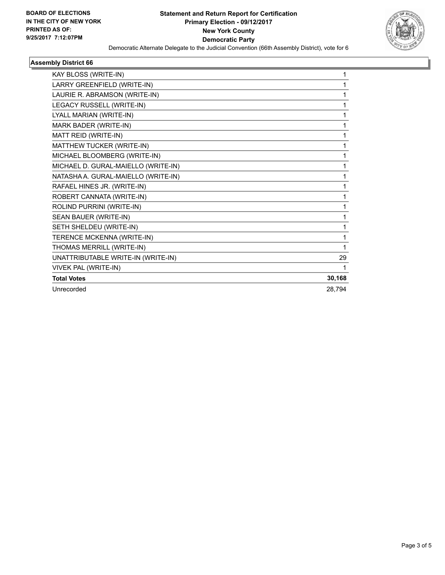

# **Assembly District 66**

| KAY BLOSS (WRITE-IN)                |        |
|-------------------------------------|--------|
| LARRY GREENFIELD (WRITE-IN)         |        |
| LAURIE R. ABRAMSON (WRITE-IN)       | 1      |
| LEGACY RUSSELL (WRITE-IN)           | 1      |
| LYALL MARIAN (WRITE-IN)             | 1      |
| MARK BADER (WRITE-IN)               | 1      |
| MATT REID (WRITE-IN)                | 1      |
| MATTHEW TUCKER (WRITE-IN)           | 1      |
| MICHAEL BLOOMBERG (WRITE-IN)        | 1      |
| MICHAEL D. GURAL-MAIELLO (WRITE-IN) | 1      |
| NATASHA A. GURAL-MAIELLO (WRITE-IN) | 1      |
| RAFAEL HINES JR. (WRITE-IN)         | 1      |
| ROBERT CANNATA (WRITE-IN)           | 1      |
| ROLIND PURRINI (WRITE-IN)           | 1      |
| SEAN BAUER (WRITE-IN)               | 1      |
| SETH SHELDEU (WRITE-IN)             | 1      |
| TERENCE MCKENNA (WRITE-IN)          | 1      |
| THOMAS MERRILL (WRITE-IN)           | 1      |
| UNATTRIBUTABLE WRITE-IN (WRITE-IN)  | 29     |
| VIVEK PAL (WRITE-IN)                | 1      |
| <b>Total Votes</b>                  | 30,168 |
| Unrecorded                          | 28,794 |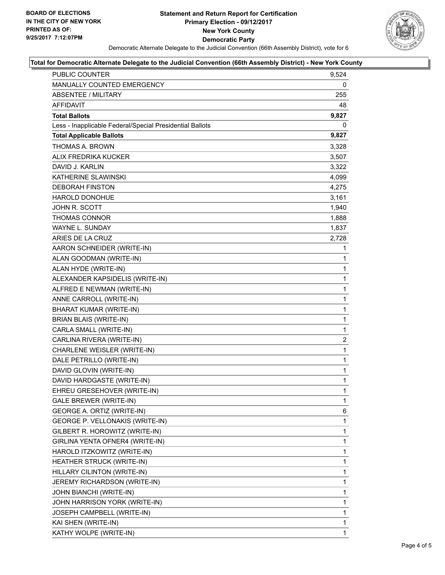

### **Total for Democratic Alternate Delegate to the Judicial Convention (66th Assembly District) - New York County**

| PUBLIC COUNTER                                           | 9,524        |
|----------------------------------------------------------|--------------|
| MANUALLY COUNTED EMERGENCY                               | 0            |
| ABSENTEE / MILITARY                                      | 255          |
| AFFIDAVIT                                                | 48           |
| <b>Total Ballots</b>                                     | 9,827        |
| Less - Inapplicable Federal/Special Presidential Ballots | 0            |
| <b>Total Applicable Ballots</b>                          | 9,827        |
| THOMAS A. BROWN                                          | 3,328        |
| ALIX FREDRIKA KUCKER                                     | 3,507        |
| DAVID J. KARLIN                                          | 3,322        |
| KATHERINE SLAWINSKI                                      | 4,099        |
| <b>DEBORAH FINSTON</b>                                   | 4,275        |
| <b>HAROLD DONOHUE</b>                                    | 3,161        |
| JOHN R. SCOTT                                            | 1,940        |
| THOMAS CONNOR                                            | 1,888        |
| WAYNE L. SUNDAY                                          | 1,837        |
| ARIES DE LA CRUZ                                         | 2,728        |
| AARON SCHNEIDER (WRITE-IN)                               | 1            |
| ALAN GOODMAN (WRITE-IN)                                  | 1            |
| ALAN HYDE (WRITE-IN)                                     | 1            |
| ALEXANDER KAPSIDELIS (WRITE-IN)                          | $\mathbf{1}$ |
| ALFRED E NEWMAN (WRITE-IN)                               | 1            |
| ANNE CARROLL (WRITE-IN)                                  | 1            |
| BHARAT KUMAR (WRITE-IN)                                  | $\mathbf{1}$ |
| <b>BRIAN BLAIS (WRITE-IN)</b>                            | 1            |
| CARLA SMALL (WRITE-IN)                                   | 1            |
| CARLINA RIVERA (WRITE-IN)                                | 2            |
| CHARLENE WEISLER (WRITE-IN)                              | 1            |
| DALE PETRILLO (WRITE-IN)                                 | 1            |
| DAVID GLOVIN (WRITE-IN)                                  | $\mathbf{1}$ |
| DAVID HARDGASTE (WRITE-IN)                               | 1            |
| EHREU GRESEHOVER (WRITE-IN)                              | 1            |
| GALE BREWER (WRITE-IN)                                   | 1            |
| GEORGE A. ORTIZ (WRITE-IN)                               | 6            |
| GEORGE P. VELLONAKIS (WRITE-IN)                          | 1            |
| GILBERT R. HOROWITZ (WRITE-IN)                           | 1            |
| GIRLINA YENTA OFNER4 (WRITE-IN)                          | 1            |
| HAROLD ITZKOWITZ (WRITE-IN)                              | 1            |
| HEATHER STRUCK (WRITE-IN)                                | 1            |
| HILLARY CILINTON (WRITE-IN)                              | 1            |
| JEREMY RICHARDSON (WRITE-IN)                             | 1            |
| JOHN BIANCHI (WRITE-IN)                                  | 1            |
| JOHN HARRISON YORK (WRITE-IN)                            | 1            |
| JOSEPH CAMPBELL (WRITE-IN)                               | 1            |
| KAI SHEN (WRITE-IN)                                      | 1            |
| KATHY WOLPE (WRITE-IN)                                   | 1            |